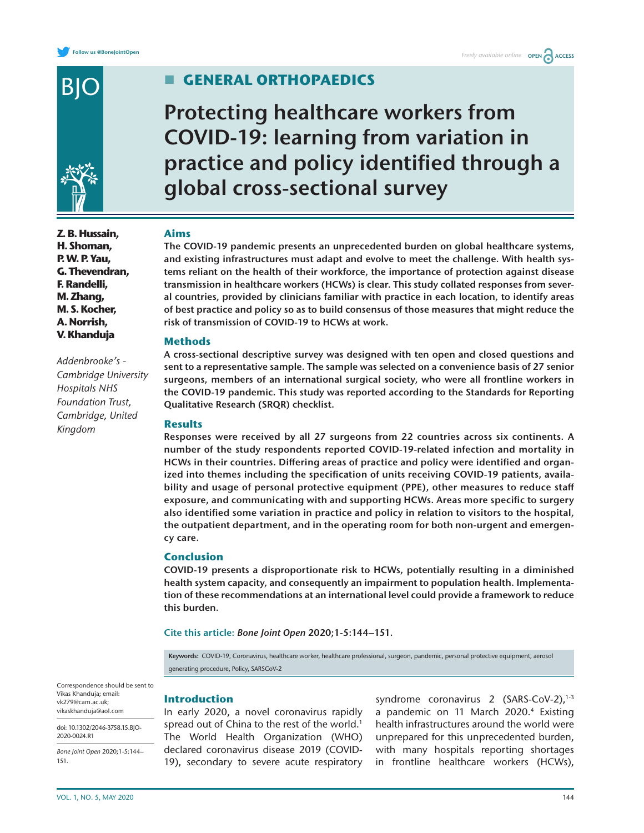

**Z. B. Hussain, H. Shoman, P. W. P. Yau, G. Thevendran, F. Randelli, M. Zhang, M. S. Kocher, A. Norrish, V. Khanduja**

*Addenbrooke's - Cambridge University Hospitals NHS Foundation Trust, Cambridge, United Kingdom*

# **General orthopaedics**

**Protecting healthcare workers from COVID-19: learning from variation in practice and policy identified through a global cross-sectional survey**

## **Aims**

**The COVID-19 pandemic presents an unprecedented burden on global healthcare systems, and existing infrastructures must adapt and evolve to meet the challenge. With health systems reliant on the health of their workforce, the importance of protection against disease transmission in healthcare workers (HCWs) is clear. This study collated responses from several countries, provided by clinicians familiar with practice in each location, to identify areas of best practice and policy so as to build consensus of those measures that might reduce the risk of transmission of COVID-19 to HCWs at work.**

## **Methods**

**A cross-sectional descriptive survey was designed with ten open and closed questions and sent to a representative sample. The sample was selected on a convenience basis of 27 senior surgeons, members of an international surgical society, who were all frontline workers in the COVID-19 pandemic. This study was reported according to the Standards for Reporting Qualitative Research (SRQR) checklist.**

## **Results**

**Responses were received by all 27 surgeons from 22 countries across six continents. A number of the study respondents reported COVID-19-related infection and mortality in HCWs in their countries. Differing areas of practice and policy were identified and organized into themes including the specification of units receiving COVID-19 patients, availability and usage of personal protective equipment (PPE), other measures to reduce staff exposure, and communicating with and supporting HCWs. Areas more specific to surgery also identified some variation in practice and policy in relation to visitors to the hospital, the outpatient department, and in the operating room for both non-urgent and emergency care.**

## **Conclusion**

**COVID-19 presents a disproportionate risk to HCWs, potentially resulting in a diminished health system capacity, and consequently an impairment to population health. Implementation of these recommendations at an international level could provide a framework to reduce this burden.**

**Cite this article:** *Bone Joint Open* **2020;1-5:144–151.**

**Keywords:** COVID-19, Coronavirus, healthcare worker, healthcare professional, surgeon, pandemic, personal protective equipment, aerosol generating procedure, Policy, SARSCoV-2

## **Introduction**

In early 2020, a novel coronavirus rapidly spread out of China to the rest of the world.<sup>[1](#page-6-0)</sup> The World Health Organization (WHO) declared coronavirus disease 2019 (COVID-19), secondary to severe acute respiratory syndrome coronavirus 2  $(SARS-CoV-2)$ ,<sup>[1-3](#page-6-0)</sup> a pandemic on 11 March 2020.<sup>4</sup> Existing health infrastructures around the world were unprepared for this unprecedented burden, with many hospitals reporting shortages in frontline healthcare workers (HCWs),

Correspondence should be sent to Vikas Khanduja; email: [vk279@cam.ac.uk;](mailto:vk279@cam.ac.uk; vikaskhanduja@aol.com)  [vikaskhanduja@aol.com](mailto:vk279@cam.ac.uk; vikaskhanduja@aol.com)

doi: 10.1302/2046-3758.15.BJO-2020-0024.R1

*Bone Joint Open* 2020;1-5:144– 151.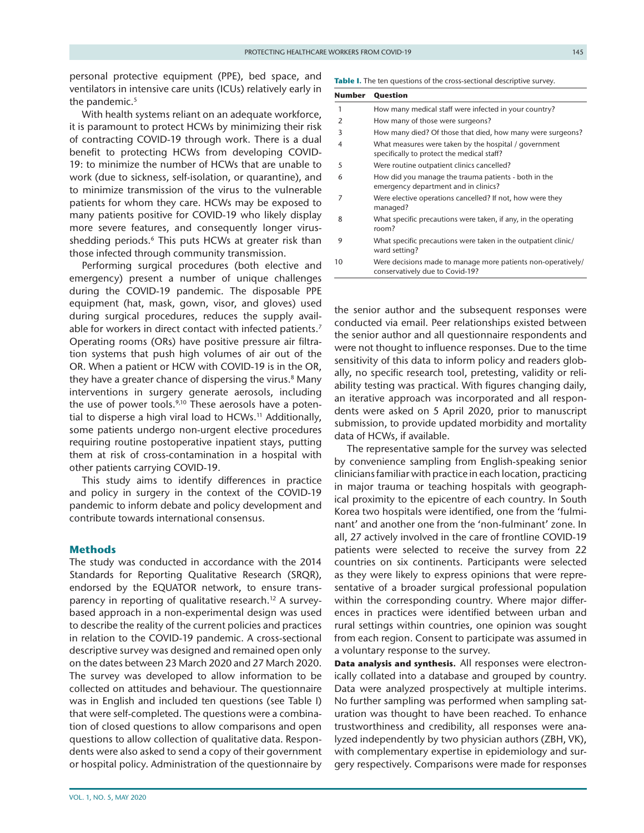personal protective equipment (PPE), bed space, and ventilators in intensive care units (ICUs) relatively early in the pandemic.<sup>5</sup>

With health systems reliant on an adequate workforce, it is paramount to protect HCWs by minimizing their risk of contracting COVID-19 through work. There is a dual benefit to protecting HCWs from developing COVID-19: to minimize the number of HCWs that are unable to work (due to sickness, self-isolation, or quarantine), and to minimize transmission of the virus to the vulnerable patients for whom they care. HCWs may be exposed to many patients positive for COVID-19 who likely display more severe features, and consequently longer virusshedding periods.<sup>6</sup> This puts HCWs at greater risk than those infected through community transmission.

Performing surgical procedures (both elective and emergency) present a number of unique challenges during the COVID-19 pandemic. The disposable PPE equipment (hat, mask, gown, visor, and gloves) used during surgical procedures, reduces the supply avail-able for workers in direct contact with infected patients.<sup>[7](#page-6-4)</sup> Operating rooms (ORs) have positive pressure air filtration systems that push high volumes of air out of the OR. When a patient or HCW with COVID-19 is in the OR, they have a greater chance of dispersing the virus.<sup>8</sup> Many interventions in surgery generate aerosols, including the use of power tools.<sup>[9,10](#page-6-6)</sup> These aerosols have a potential to disperse a high viral load to HCWs.<sup>11</sup> Additionally, some patients undergo non-urgent elective procedures requiring routine postoperative inpatient stays, putting them at risk of cross-contamination in a hospital with other patients carrying COVID-19.

This study aims to identify differences in practice and policy in surgery in the context of the COVID-19 pandemic to inform debate and policy development and contribute towards international consensus.

### **Methods**

The study was conducted in accordance with the 2014 Standards for Reporting Qualitative Research (SRQR), endorsed by the EQUATOR network, to ensure trans-parency in reporting of qualitative research.<sup>[12](#page-6-8)</sup> A surveybased approach in a non-experimental design was used to describe the reality of the current policies and practices in relation to the COVID-19 pandemic. A cross-sectional descriptive survey was designed and remained open only on the dates between 23 March 2020 and 27 March 2020. The survey was developed to allow information to be collected on attitudes and behaviour. The questionnaire was in English and included ten questions (see [Table I\)](#page-1-0) that were self-completed. The questions were a combination of closed questions to allow comparisons and open questions to allow collection of qualitative data. Respondents were also asked to send a copy of their government or hospital policy. Administration of the questionnaire by

<span id="page-1-0"></span>Table I. The ten questions of the cross-sectional descriptive survey.

| Number | Question<br>How many medical staff were infected in your country?                                   |  |  |  |  |
|--------|-----------------------------------------------------------------------------------------------------|--|--|--|--|
| 1      |                                                                                                     |  |  |  |  |
| 2      | How many of those were surgeons?                                                                    |  |  |  |  |
| 3      | How many died? Of those that died, how many were surgeons?                                          |  |  |  |  |
| 4      | What measures were taken by the hospital / government<br>specifically to protect the medical staff? |  |  |  |  |
| 5      | Were routine outpatient clinics cancelled?                                                          |  |  |  |  |
| 6      | How did you manage the trauma patients - both in the<br>emergency department and in clinics?        |  |  |  |  |
| 7      | Were elective operations cancelled? If not, how were they<br>managed?                               |  |  |  |  |
| 8      | What specific precautions were taken, if any, in the operating<br>room?                             |  |  |  |  |
| 9      | What specific precautions were taken in the outpatient clinic/<br>ward setting?                     |  |  |  |  |
| 10     | Were decisions made to manage more patients non-operatively/<br>conservatively due to Covid-19?     |  |  |  |  |

the senior author and the subsequent responses were conducted via email. Peer relationships existed between the senior author and all questionnaire respondents and were not thought to influence responses. Due to the time sensitivity of this data to inform policy and readers globally, no specific research tool, pretesting, validity or reliability testing was practical. With figures changing daily, an iterative approach was incorporated and all respondents were asked on 5 April 2020, prior to manuscript submission, to provide updated morbidity and mortality data of HCWs, if available.

The representative sample for the survey was selected by convenience sampling from English-speaking senior clinicians familiar with practice in each location, practicing in major trauma or teaching hospitals with geographical proximity to the epicentre of each country. In South Korea two hospitals were identified, one from the 'fulminant' and another one from the 'non-fulminant' zone. In all, 27 actively involved in the care of frontline COVID-19 patients were selected to receive the survey from 22 countries on six continents. Participants were selected as they were likely to express opinions that were representative of a broader surgical professional population within the corresponding country. Where major differences in practices were identified between urban and rural settings within countries, one opinion was sought from each region. Consent to participate was assumed in a voluntary response to the survey.

**Data analysis and synthesis.** All responses were electronically collated into a database and grouped by country. Data were analyzed prospectively at multiple interims. No further sampling was performed when sampling saturation was thought to have been reached. To enhance trustworthiness and credibility, all responses were analyzed independently by two physician authors (ZBH, VK), with complementary expertise in epidemiology and surgery respectively. Comparisons were made for responses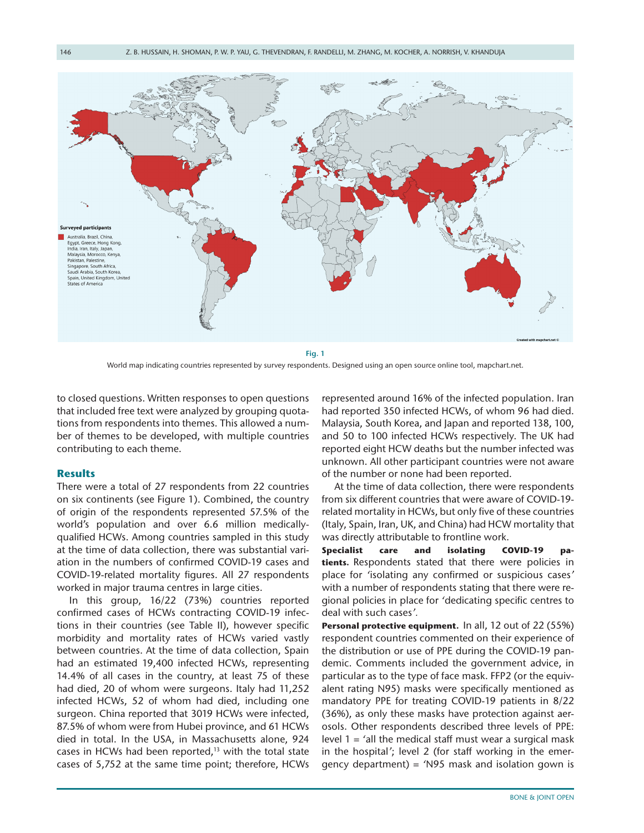

<span id="page-2-0"></span>World map indicating countries represented by survey respondents. Designed using an open source online tool, mapchart.net.

to closed questions. Written responses to open questions that included free text were analyzed by grouping quotations from respondents into themes. This allowed a number of themes to be developed, with multiple countries contributing to each theme.

### **Results**

There were a total of 27 respondents from 22 countries on six continents (see [Figure 1\)](#page-2-0). Combined, the country of origin of the respondents represented 57.5% of the world's population and over 6.6 million medicallyqualified HCWs. Among countries sampled in this study at the time of data collection, there was substantial variation in the numbers of confirmed COVID-19 cases and COVID-19-related mortality figures. All 27 respondents worked in major trauma centres in large cities.

In this group, 16/22 (73%) countries reported confirmed cases of HCWs contracting COVID-19 infections in their countries (see [Table II\)](#page-3-0), however specific morbidity and mortality rates of HCWs varied vastly between countries. At the time of data collection, Spain had an estimated 19,400 infected HCWs, representing 14.4% of all cases in the country, at least 75 of these had died, 20 of whom were surgeons. Italy had 11,252 infected HCWs, 52 of whom had died, including one surgeon. China reported that 3019 HCWs were infected, 87.5% of whom were from Hubei province, and 61 HCWs died in total. In the USA, in Massachusetts alone, 924 cases in HCWs had been reported, $13$  with the total state cases of 5,752 at the same time point; therefore, HCWs represented around 16% of the infected population. Iran had reported 350 infected HCWs, of whom 96 had died. Malaysia, South Korea, and Japan and reported 138, 100, and 50 to 100 infected HCWs respectively. The UK had reported eight HCW deaths but the number infected was unknown. All other participant countries were not aware of the number or none had been reported.

At the time of data collection, there were respondents from six different countries that were aware of COVID-19 related mortality in HCWs, but only five of these countries (Italy, Spain, Iran, UK, and China) had HCW mortality that was directly attributable to frontline work.

**Specialist care and isolating COVID-19 patients.** Respondents stated that there were policies in place for *'*isolating any confirmed or suspicious cases*'* with a number of respondents stating that there were regional policies in place for *'*dedicating specific centres to deal with such cases*'.*

**Personal protective equipment.** In all, 12 out of 22 (55%) respondent countries commented on their experience of the distribution or use of PPE during the COVID-19 pandemic. Comments included the government advice, in particular as to the type of face mask. FFP2 (or the equivalent rating N95) masks were specifically mentioned as mandatory PPE for treating COVID-19 patients in 8/22 (36%), as only these masks have protection against aerosols. Other respondents described three levels of PPE: level 1 = *'*all the medical staff must wear a surgical mask in the hospital*'*; level 2 (for staff working in the emergency department) = *'*N95 mask and isolation gown is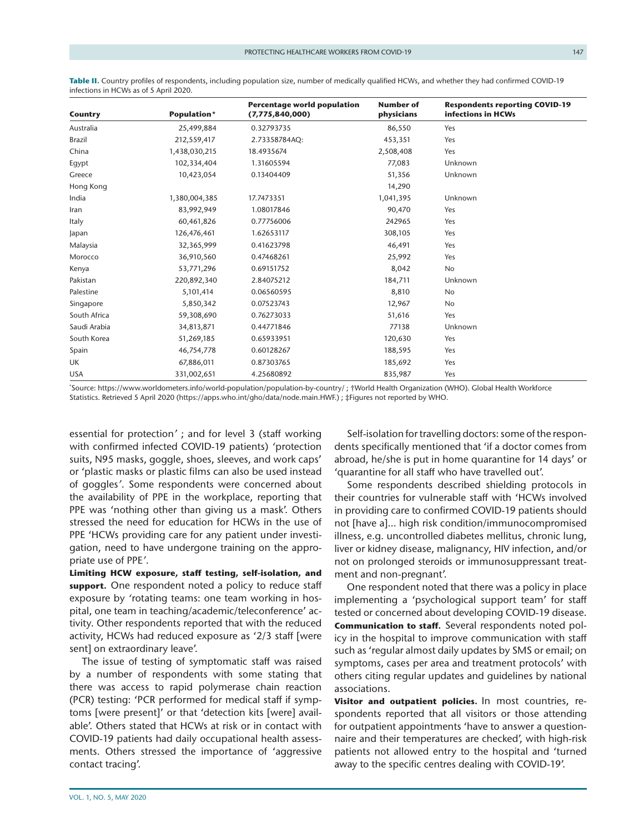| Country      | Population*   | <b>Percentage world population</b><br>(7,775,840,000) | <b>Number of</b><br>physicians | <b>Respondents reporting COVID-19</b><br>infections in HCWs |
|--------------|---------------|-------------------------------------------------------|--------------------------------|-------------------------------------------------------------|
| Australia    | 25,499,884    | 0.32793735                                            | 86,550                         | Yes                                                         |
| Brazil       | 212,559,417   | 2.73358784AQ:                                         | 453,351                        | Yes                                                         |
| China        | 1,438,030,215 | 18.4935674                                            | 2,508,408                      | Yes                                                         |
| Egypt        | 102,334,404   | 1.31605594                                            | 77,083                         | Unknown                                                     |
| Greece       | 10,423,054    | 0.13404409                                            | 51,356                         | Unknown                                                     |
| Hong Kong    |               |                                                       | 14,290                         |                                                             |
| India        | 1,380,004,385 | 17.7473351                                            | 1,041,395                      | Unknown                                                     |
| Iran         | 83,992,949    | 1.08017846                                            | 90,470                         | Yes                                                         |
| Italy        | 60,461,826    | 0.77756006                                            | 242965                         | Yes                                                         |
| Japan        | 126,476,461   | 1.62653117                                            | 308,105                        | Yes                                                         |
| Malaysia     | 32,365,999    | 0.41623798                                            | 46,491                         | Yes                                                         |
| Morocco      | 36,910,560    | 0.47468261                                            | 25,992                         | Yes                                                         |
| Kenya        | 53,771,296    | 0.69151752                                            | 8,042                          | No                                                          |
| Pakistan     | 220,892,340   | 2.84075212                                            | 184,711                        | Unknown                                                     |
| Palestine    | 5,101,414     | 0.06560595                                            | 8,810                          | No                                                          |
| Singapore    | 5,850,342     | 0.07523743                                            | 12,967                         | <b>No</b>                                                   |
| South Africa | 59,308,690    | 0.76273033                                            | 51,616                         | Yes                                                         |
| Saudi Arabia | 34,813,871    | 0.44771846                                            | 77138                          | Unknown                                                     |
| South Korea  | 51,269,185    | 0.65933951                                            | 120,630                        | Yes                                                         |
| Spain        | 46,754,778    | 0.60128267                                            | 188,595                        | Yes                                                         |
| UK           | 67,886,011    | 0.87303765                                            | 185,692                        | Yes                                                         |
| <b>USA</b>   | 331,002,651   | 4.25680892                                            | 835,987                        | Yes                                                         |

<span id="page-3-0"></span>**Table II.** Country profiles of respondents, including population size, number of medically qualified HCWs, and whether they had confirmed COVID-19 infections in HCWs as of 5 April 2020.

\* Source:<https://www.worldometers.info/world-population/population-by-country/>; †World Health Organization (WHO). Global Health Workforce Statistics. Retrieved 5 April 2020 [\(https://apps.who.int/gho/data/node.main.HWF.](https://apps.who.int/gho/data/node.main.HWF.)) ; ‡Figures not reported by WHO.

essential for protection*'* ; and for level 3 (staff working with confirmed infected COVID-19 patients) *'*protection suits, N95 masks, goggle, shoes, sleeves, and work caps' or 'plastic masks or plastic films can also be used instead of goggles*'*. Some respondents were concerned about the availability of PPE in the workplace, reporting that PPE was 'nothing other than giving us a mask'. Others stressed the need for education for HCWs in the use of PPE 'HCWs providing care for any patient under investigation, need to have undergone training on the appropriate use of PPE*'*.

**Limiting HCW exposure, staff testing, self-isolation, and support.** One respondent noted a policy to reduce staff exposure by *'*rotating teams: one team working in hospital, one team in teaching/academic/teleconference' activity. Other respondents reported that with the reduced activity, HCWs had reduced exposure as '2/3 staff [were sent] on extraordinary leave'.

The issue of testing of symptomatic staff was raised by a number of respondents with some stating that there was access to rapid polymerase chain reaction (PCR) testing: 'PCR performed for medical staff if symptoms [were present]' or that 'detection kits [were] available'. Others stated that HCWs at risk or in contact with COVID-19 patients had daily occupational health assessments. Others stressed the importance of 'aggressive contact tracing'.

Self-isolation for travelling doctors: some of the respondents specifically mentioned that 'if a doctor comes from abroad, he/she is put in home quarantine for 14 days' or 'quarantine for all staff who have travelled out'.

Some respondents described shielding protocols in their countries for vulnerable staff with 'HCWs involved in providing care to confirmed COVID-19 patients should not [have a]… high risk condition/immunocompromised illness, e.g. uncontrolled diabetes mellitus, chronic lung, liver or kidney disease, malignancy, HIV infection, and/or not on prolonged steroids or immunosuppressant treatment and non-pregnant'.

One respondent noted that there was a policy in place implementing a 'psychological support team' for staff tested or concerned about developing COVID-19 disease. **Communication to staff.** Several respondents noted policy in the hospital to improve communication with staff such as 'regular almost daily updates by SMS or email; on symptoms, cases per area and treatment protocols' with others citing regular updates and guidelines by national associations.

**Visitor and outpatient policies.** In most countries, respondents reported that all visitors or those attending for outpatient appointments 'have to answer a questionnaire and their temperatures are checked', with high-risk patients not allowed entry to the hospital and 'turned away to the specific centres dealing with COVID-19'.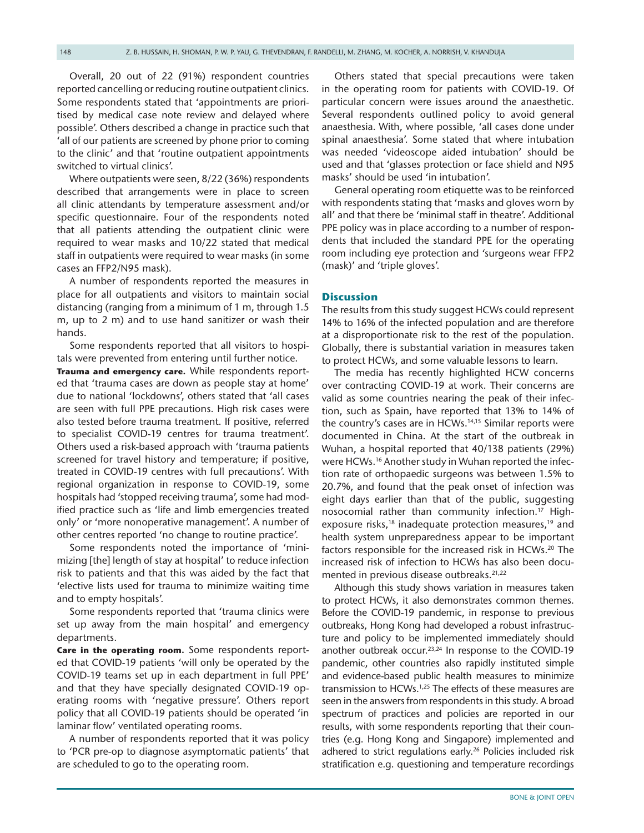Overall, 20 out of 22 (91%) respondent countries reported cancelling or reducing routine outpatient clinics. Some respondents stated that 'appointments are prioritised by medical case note review and delayed where possible'. Others described a change in practice such that 'all of our patients are screened by phone prior to coming to the clinic' and that 'routine outpatient appointments switched to virtual clinics'.

Where outpatients were seen, 8/22 (36%) respondents described that arrangements were in place to screen all clinic attendants by temperature assessment and/or specific questionnaire. Four of the respondents noted that all patients attending the outpatient clinic were required to wear masks and 10/22 stated that medical staff in outpatients were required to wear masks (in some cases an FFP2/N95 mask).

A number of respondents reported the measures in place for all outpatients and visitors to maintain social distancing (ranging from a minimum of 1 m, through 1.5 m, up to 2 m) and to use hand sanitizer or wash their hands.

Some respondents reported that all visitors to hospitals were prevented from entering until further notice.

**Trauma and emergency care.** While respondents reported that 'trauma cases are down as people stay at home' due to national 'lockdowns', others stated that 'all cases are seen with full PPE precautions. High risk cases were also tested before trauma treatment. If positive, referred to specialist COVID-19 centres for trauma treatment'. Others used a risk-based approach with 'trauma patients screened for travel history and temperature; if positive, treated in COVID-19 centres with full precautions'. With regional organization in response to COVID-19, some hospitals had 'stopped receiving trauma', some had modified practice such as 'life and limb emergencies treated only' or 'more nonoperative management'. A number of other centres reported 'no change to routine practice'.

Some respondents noted the importance of 'minimizing [the] length of stay at hospital' to reduce infection risk to patients and that this was aided by the fact that 'elective lists used for trauma to minimize waiting time and to empty hospitals'.

Some respondents reported that 'trauma clinics were set up away from the main hospital' and emergency departments.

**Care in the operating room.** Some respondents reported that COVID-19 patients 'will only be operated by the COVID-19 teams set up in each department in full PPE' and that they have specially designated COVID-19 operating rooms with 'negative pressure'. Others report policy that all COVID-19 patients should be operated 'in laminar flow' ventilated operating rooms.

A number of respondents reported that it was policy to 'PCR pre-op to diagnose asymptomatic patients' that are scheduled to go to the operating room.

Others stated that special precautions were taken in the operating room for patients with COVID-19. Of particular concern were issues around the anaesthetic. Several respondents outlined policy to avoid general anaesthesia. With, where possible, 'all cases done under spinal anaesthesia'. Some stated that where intubation was needed 'videoscope aided intubation' should be used and that 'glasses protection or face shield and N95 masks' should be used 'in intubation'.

General operating room etiquette was to be reinforced with respondents stating that 'masks and gloves worn by all' and that there be 'minimal staff in theatre'. Additional PPE policy was in place according to a number of respondents that included the standard PPE for the operating room including eye protection and 'surgeons wear FFP2 (mask)' and 'triple gloves'.

### **Discussion**

The results from this study suggest HCWs could represent 14% to 16% of the infected population and are therefore at a disproportionate risk to the rest of the population. Globally, there is substantial variation in measures taken to protect HCWs, and some valuable lessons to learn.

The media has recently highlighted HCW concerns over contracting COVID-19 at work. Their concerns are valid as some countries nearing the peak of their infection, such as Spain, have reported that 13% to 14% of the country's cases are in HCWs.[14,15](#page-6-10) Similar reports were documented in China. At the start of the outbreak in Wuhan, a hospital reported that 40/138 patients (29%) were HCWs.<sup>16</sup> Another study in Wuhan reported the infection rate of orthopaedic surgeons was between 1.5% to 20.7%, and found that the peak onset of infection was eight days earlier than that of the public, suggesting nosocomial rather than community infection.<sup>17</sup> Highexposure risks,<sup>18</sup> inadequate protection measures,<sup>19</sup> and health system unpreparedness appear to be important factors responsible for the increased risk in HCWs.<sup>[20](#page-6-15)</sup> The increased risk of infection to HCWs has also been docu-mented in previous disease outbreaks.<sup>[21,22](#page-6-16)</sup>

Although this study shows variation in measures taken to protect HCWs, it also demonstrates common themes. Before the COVID-19 pandemic, in response to previous outbreaks, Hong Kong had developed a robust infrastructure and policy to be implemented immediately should another outbreak occur.<sup>23,24</sup> In response to the COVID-19 pandemic, other countries also rapidly instituted simple and evidence-based public health measures to minimize transmission to HCWs.<sup>1,25</sup> The effects of these measures are seen in the answers from respondents in this study. A broad spectrum of practices and policies are reported in our results, with some respondents reporting that their countries (e.g. Hong Kong and Singapore) implemented and adhered to strict regulations early.<sup>26</sup> Policies included risk stratification e.g. questioning and temperature recordings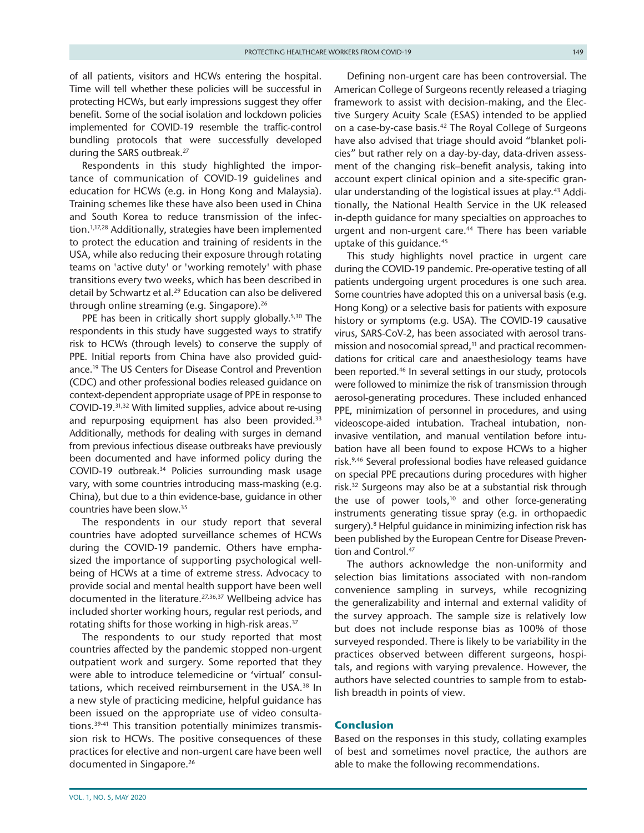of all patients, visitors and HCWs entering the hospital. Time will tell whether these policies will be successful in protecting HCWs, but early impressions suggest they offer benefit. Some of the social isolation and lockdown policies implemented for COVID-19 resemble the traffic-control bundling protocols that were successfully developed during the SARS outbreak.[27](#page-7-2)

Respondents in this study highlighted the importance of communication of COVID-19 guidelines and education for HCWs (e.g. in Hong Kong and Malaysia). Training schemes like these have also been used in China and South Korea to reduce transmission of the infection.[1,17,28](#page-6-0) Additionally, strategies have been implemented to protect the education and training of residents in the USA, while also reducing their exposure through rotating teams on 'active duty' or 'working remotely' with phase transitions every two weeks, which has been described in detail by Schwartz et al.<sup>29</sup> Education can also be delivered through online streaming (e.g. Singapore).<sup>26</sup>

PPE has been in critically short supply globally.<sup>5,30</sup> The respondents in this study have suggested ways to stratify risk to HCWs (through levels) to conserve the supply of PPE. Initial reports from China have also provided guidance[.19](#page-6-14) The US Centers for Disease Control and Prevention (CDC) and other professional bodies released guidance on context-dependent appropriate usage of PPE in response to COVID-19.[31,32](#page-7-4) With limited supplies, advice about re-using and repurposing equipment has also been provided.<sup>[33](#page-7-5)</sup> Additionally, methods for dealing with surges in demand from previous infectious disease outbreaks have previously been documented and have informed policy during the COVID-19 outbreak.[34](#page-7-6) Policies surrounding mask usage vary, with some countries introducing mass-masking (e.g. China), but due to a thin evidence-base, guidance in other countries have been slow[.35](#page-7-7)

The respondents in our study report that several countries have adopted surveillance schemes of HCWs during the COVID-19 pandemic. Others have emphasized the importance of supporting psychological wellbeing of HCWs at a time of extreme stress. Advocacy to provide social and mental health support have been well documented in the literature.<sup>[27,36,37](#page-7-2)</sup> Wellbeing advice has included shorter working hours, regular rest periods, and rotating shifts for those working in high-risk areas.<sup>[37](#page-7-8)</sup>

The respondents to our study reported that most countries affected by the pandemic stopped non-urgent outpatient work and surgery. Some reported that they were able to introduce telemedicine or 'virtual' consul-tations, which received reimbursement in the USA.<sup>[38](#page-7-9)</sup> In a new style of practicing medicine, helpful guidance has been issued on the appropriate use of video consultations.[39-41](#page-7-10) This transition potentially minimizes transmission risk to HCWs. The positive consequences of these practices for elective and non-urgent care have been well documented in Singapore.<sup>26</sup>

Defining non-urgent care has been controversial. The American College of Surgeons recently released a triaging framework to assist with decision-making, and the Elective Surgery Acuity Scale (ESAS) intended to be applied on a case-by-case basis.<sup>42</sup> The Royal College of Surgeons have also advised that triage should avoid "blanket policies" but rather rely on a day-by-day, data-driven assessment of the changing risk–benefit analysis, taking into account expert clinical opinion and a site-specific gran-ular understanding of the logistical issues at play.<sup>[43](#page-7-12)</sup> Additionally, the National Health Service in the UK released in-depth guidance for many specialties on approaches to urgent and non-urgent care.<sup>44</sup> There has been variable uptake of this guidance.<sup>[45](#page-7-14)</sup>

This study highlights novel practice in urgent care during the COVID-19 pandemic. Pre-operative testing of all patients undergoing urgent procedures is one such area. Some countries have adopted this on a universal basis (e.g. Hong Kong) or a selective basis for patients with exposure history or symptoms (e.g. USA). The COVID-19 causative virus, SARS-CoV-2, has been associated with aerosol transmission and nosocomial spread,<sup>11</sup> and practical recommendations for critical care and anaesthesiology teams have been reported.[46](#page-7-15) In several settings in our study, protocols were followed to minimize the risk of transmission through aerosol-generating procedures. These included enhanced PPE, minimization of personnel in procedures, and using videoscope-aided intubation. Tracheal intubation, noninvasive ventilation, and manual ventilation before intubation have all been found to expose HCWs to a higher risk.<sup>9,46</sup> Several professional bodies have released guidance on special PPE precautions during procedures with higher risk[.32](#page-7-16) Surgeons may also be at a substantial risk through the use of power tools, $10$  and other force-generating instruments generating tissue spray (e.g. in orthopaedic surgery).<sup>8</sup> Helpful guidance in minimizing infection risk has been published by the European Centre for Disease Prevention and Control.[47](#page-7-17)

The authors acknowledge the non-uniformity and selection bias limitations associated with non-random convenience sampling in surveys, while recognizing the generalizability and internal and external validity of the survey approach. The sample size is relatively low but does not include response bias as 100% of those surveyed responded. There is likely to be variability in the practices observed between different surgeons, hospitals, and regions with varying prevalence. However, the authors have selected countries to sample from to establish breadth in points of view.

### **Conclusion**

Based on the responses in this study, collating examples of best and sometimes novel practice, the authors are able to make the following recommendations.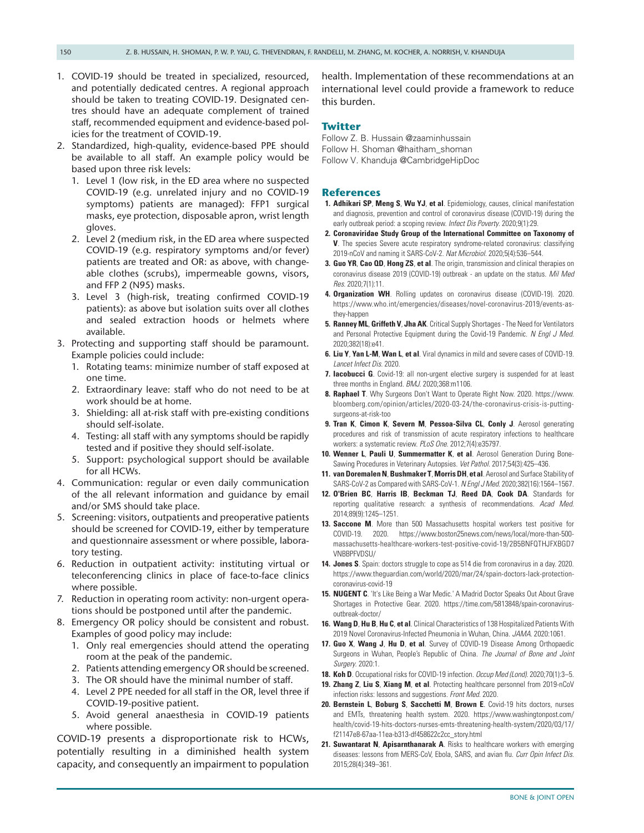- 1. COVID-19 should be treated in specialized, resourced, and potentially dedicated centres. A regional approach should be taken to treating COVID-19. Designated centres should have an adequate complement of trained staff, recommended equipment and evidence-based policies for the treatment of COVID-19.
- 2. Standardized, high-quality, evidence-based PPE should be available to all staff. An example policy would be based upon three risk levels:
	- 1. Level 1 (low risk, in the ED area where no suspected COVID-19 (e.g. unrelated injury and no COVID-19 symptoms) patients are managed): FFP1 surgical masks, eye protection, disposable apron, wrist length gloves.
	- 2. Level 2 (medium risk, in the ED area where suspected COVID-19 (e.g. respiratory symptoms and/or fever) patients are treated and OR: as above, with changeable clothes (scrubs), impermeable gowns, visors, and FFP 2 (N95) masks.
	- 3. Level 3 (high-risk, treating confirmed COVID-19 patients): as above but isolation suits over all clothes and sealed extraction hoods or helmets where available.
- 3. Protecting and supporting staff should be paramount. Example policies could include:
	- 1. Rotating teams: minimize number of staff exposed at one time.
	- 2. Extraordinary leave: staff who do not need to be at work should be at home.
	- 3. Shielding: all at-risk staff with pre-existing conditions should self-isolate.
	- 4. Testing: all staff with any symptoms should be rapidly tested and if positive they should self-isolate.
	- 5. Support: psychological support should be available for all HCWs.
- 4. Communication: regular or even daily communication of the all relevant information and guidance by email and/or SMS should take place.
- 5. Screening: visitors, outpatients and preoperative patients should be screened for COVID-19, either by temperature and questionnaire assessment or where possible, laboratory testing.
- 6. Reduction in outpatient activity: instituting virtual or teleconferencing clinics in place of face-to-face clinics where possible.
- 7. Reduction in operating room activity: non-urgent operations should be postponed until after the pandemic.
- 8. Emergency OR policy should be consistent and robust. Examples of good policy may include:
	- 1. Only real emergencies should attend the operating room at the peak of the pandemic.
	- 2. Patients attending emergency OR should be screened.
	- 3. The OR should have the minimal number of staff.
	- 4. Level 2 PPE needed for all staff in the OR, level three if COVID-19-positive patient.
	- 5. Avoid general anaesthesia in COVID-19 patients where possible.

COVID-19 presents a disproportionate risk to HCWs, potentially resulting in a diminished health system capacity, and consequently an impairment to population health. Implementation of these recommendations at an international level could provide a framework to reduce this burden.

## **Twitter**

Follow Z. B. Hussain @zaaminhussain Follow H. Shoman @haitham\_shoman Follow V. Khanduja @CambridgeHipDoc

### **References**

- <span id="page-6-0"></span>**1. Adhikari SP**, **Meng S**, **Wu YJ**, **et al**. Epidemiology, causes, clinical manifestation and diagnosis, prevention and control of coronavirus disease (COVID-19) during the early outbreak period: a scoping review. *Infect Dis Poverty*. 2020;9(1):29.
- **2. Coronaviridae Study Group of the International Committee on Taxonomy of V**. The species Severe acute respiratory syndrome-related coronavirus: classifying 2019-nCoV and naming it SARS-CoV-2. *Nat Microbiol*. 2020;5(4):536–544.
- **3. Guo YR**, **Cao QD**, **Hong ZS**, **et al**. The origin, transmission and clinical therapies on coronavirus disease 2019 (COVID-19) outbreak - an update on the status. *Mil Med Res*. 2020;7(1):11.
- <span id="page-6-1"></span>**4. Organization WH**. Rolling updates on coronavirus disease (COVID-19). 2020. [https://www.who.int/emergencies/diseases/novel-coronavirus-2019/events-as](https://www.who.int/emergencies/diseases/novel-coronavirus-2019/events-as-they-happen)[they-happen](https://www.who.int/emergencies/diseases/novel-coronavirus-2019/events-as-they-happen)
- <span id="page-6-2"></span>**5. Ranney ML**, **Griffeth V**, **Jha AK**. Critical Supply Shortages - The Need for Ventilators and Personal Protective Equipment during the Covid-19 Pandemic. *N Engl J Med*. 2020;382(18):e41.
- <span id="page-6-3"></span>**6. Liu Y**, **Yan L-M**, **Wan L**, **et al**. Viral dynamics in mild and severe cases of COVID-19. *Lancet Infect Dis*. 2020.
- <span id="page-6-4"></span>**7. Iacobucci G**. Covid-19: all non-urgent elective surgery is suspended for at least three months in England. *BMJ*. 2020;368:m1106.
- <span id="page-6-5"></span>**8. Raphael T**. Why Surgeons Don't Want to Operate Right Now. 2020. [https://www.](https://www.bloomberg.com/opinion/articles/2020-03-24/the-coronavirus-crisis-is-putting-surgeons-at-risk-too) [bloomberg.com/opinion/articles/2020-03-24/the-coronavirus-crisis-is-putting](https://www.bloomberg.com/opinion/articles/2020-03-24/the-coronavirus-crisis-is-putting-surgeons-at-risk-too)[surgeons-at-risk-too](https://www.bloomberg.com/opinion/articles/2020-03-24/the-coronavirus-crisis-is-putting-surgeons-at-risk-too)
- <span id="page-6-6"></span>**9. Tran K**, **Cimon K**, **Severn M**, **Pessoa-Silva CL**, **Conly J**. Aerosol generating procedures and risk of transmission of acute respiratory infections to healthcare workers: a systematic review. *PLoS One*. 2012;7(4):e35797.
- <span id="page-6-17"></span>**10. Wenner L**, **Pauli U**, **Summermatter K**, **et al**. Aerosol Generation During Bone-Sawing Procedures in Veterinary Autopsies. *Vet Pathol*. 2017;54(3):425–436.
- <span id="page-6-7"></span>**11. van DoremalenN**, **Bushmaker T**, **MorrisDH**, **et al**. Aerosol and Surface Stability of SARS-CoV-2 as Compared with SARS-CoV-1. *N Engl J Med*. 2020;382(16):1564–1567.
- <span id="page-6-8"></span>**12. O'Brien BC**, **Harris IB**, **Beckman TJ**, **Reed DA**, **Cook DA**. Standards for reporting qualitative research: a synthesis of recommendations. *Acad Med*. 2014;89(9):1245–1251.
- <span id="page-6-9"></span>**13. Saccone M**. More than 500 Massachusetts hospital workers test positive for COVID-19. 2020. [https://www.boston25news.com/news/local/more-than-500](https://www.boston25news.com/news/local/more-than-500-massachusetts-healthcare-workers-test-positive-covid-19/2B5BNFQTHJFXBGD7VNBBPFVDSU/) [massachusetts-healthcare-workers-test-positive-covid-19/2B5BNFQTHJFXBGD7](https://www.boston25news.com/news/local/more-than-500-massachusetts-healthcare-workers-test-positive-covid-19/2B5BNFQTHJFXBGD7VNBBPFVDSU/) [VNBBPFVDSU/](https://www.boston25news.com/news/local/more-than-500-massachusetts-healthcare-workers-test-positive-covid-19/2B5BNFQTHJFXBGD7VNBBPFVDSU/)
- <span id="page-6-10"></span>**14. Jones S**. Spain: doctors struggle to cope as 514 die from coronavirus in a day. 2020. [https://www.theguardian.com/world/2020/mar/24/spain-doctors-lack-protection](https://www.theguardian.com/world/2020/mar/24/spain-doctors-lack-protection-coronavirus-covid-19)[coronavirus-covid-19](https://www.theguardian.com/world/2020/mar/24/spain-doctors-lack-protection-coronavirus-covid-19)
- **15. NUGENT C**. 'It's Like Being a War Medic.' A Madrid Doctor Speaks Out About Grave Shortages in Protective Gear. 2020. [https://time.com/5813848/spain-coronavirus](https://time.com/5813848/spain-coronavirus-outbreak-doctor/)[outbreak-doctor/](https://time.com/5813848/spain-coronavirus-outbreak-doctor/)
- <span id="page-6-11"></span>**16. Wang D**, **Hu B**, **Hu C**, **et al**. Clinical Characteristics of 138 Hospitalized Patients With 2019 Novel Coronavirus-Infected Pneumonia in Wuhan, China. *JAMA*. 2020:1061.
- <span id="page-6-12"></span>**17. Guo X**, **Wang J**, **Hu D**, **et al**. Survey of COVID-19 Disease Among Orthopaedic Surgeons in Wuhan, People's Republic of China. *The Journal of Bone and Joint Surgery*. 2020:1.
- <span id="page-6-13"></span>**18. Koh D**. Occupational risks for COVID-19 infection. *Occup Med (Lond)*. 2020;70(1):3–5.
- <span id="page-6-14"></span>**19. Zhang Z**, **Liu S**, **Xiang M**, **et al**. Protecting healthcare personnel from 2019-nCoV infection risks: lessons and suggestions. *Front Med*. 2020.
- <span id="page-6-15"></span>**20. Bernstein L**, **Boburg S**, **Sacchetti M**, **Brown E**. Covid-19 hits doctors, nurses and EMTs, threatening health system. 2020. [https://www.washingtonpost.com/](https://www.washingtonpost.com/health/covid-19-hits-doctors-nurses-emts-threatening-health-system/2020/03/17/f21147e8-67aa-11ea-b313-df458622c2cc_story.html) [health/covid-19-hits-doctors-nurses-emts-threatening-health-system/2020/03/17/](https://www.washingtonpost.com/health/covid-19-hits-doctors-nurses-emts-threatening-health-system/2020/03/17/f21147e8-67aa-11ea-b313-df458622c2cc_story.html) [f21147e8-67aa-11ea-b313-df458622c2cc\\_story.html](https://www.washingtonpost.com/health/covid-19-hits-doctors-nurses-emts-threatening-health-system/2020/03/17/f21147e8-67aa-11ea-b313-df458622c2cc_story.html)
- <span id="page-6-16"></span>**21. Suwantarat N**, **Apisarnthanarak A**. Risks to healthcare workers with emerging diseases: lessons from MERS-CoV, Ebola, SARS, and avian flu. *Curr Opin Infect Dis*. 2015;28(4):349–361.